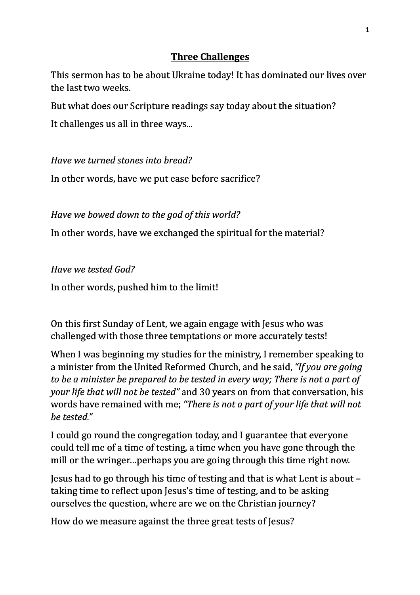## **Three Challenges**

This sermon has to be about Ukraine today! It has dominated our lives over the last two weeks.

But what does our Scripture readings say today about the situation?

It challenges us all in three ways...

*Have we turned stones into bread?* 

In other words, have we put ease before sacrifice?

*Have we bowed down to the god of this world?* 

In other words, have we exchanged the spiritual for the material?

*Have we tested God?*

In other words, pushed him to the limit!

On this first Sunday of Lent, we again engage with Jesus who was challenged with those three temptations or more accurately tests!

When I was beginning my studies for the ministry, I remember speaking to a minister from the United Reformed Church, and he said, *"If you are going to be a minister be prepared to be tested in every way; There is not a part of your life that will not be tested"* and 30 years on from that conversation, his words have remained with me; "There is not a part of your life that will not *be tested."*

I could go round the congregation today, and I guarantee that everyone could tell me of a time of testing, a time when you have gone through the mill or the wringer... perhaps you are going through this time right now.

Jesus had to go through his time of testing and that is what Lent is about – taking time to reflect upon Jesus's time of testing, and to be asking ourselves the question, where are we on the Christian journey?

How do we measure against the three great tests of Jesus?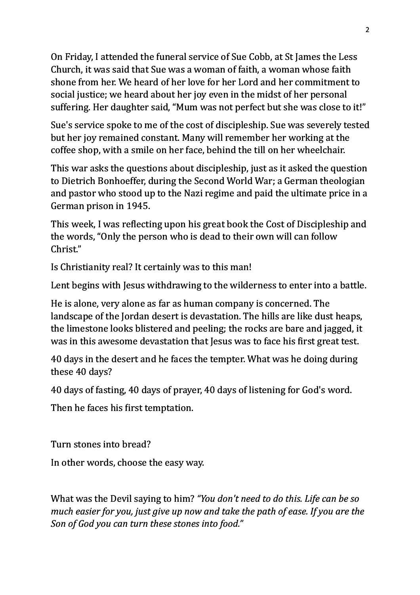On Friday, I attended the funeral service of Sue Cobb, at St James the Less Church, it was said that Sue was a woman of faith, a woman whose faith shone from her. We heard of her love for her Lord and her commitment to social justice; we heard about her joy even in the midst of her personal suffering. Her daughter said, "Mum was not perfect but she was close to it!"

Sue's service spoke to me of the cost of discipleship. Sue was severely tested but her joy remained constant. Many will remember her working at the coffee shop, with a smile on her face, behind the till on her wheelchair.

This war asks the questions about discipleship, just as it asked the question to Dietrich Bonhoeffer, during the Second World War; a German theologian and pastor who stood up to the Nazi regime and paid the ultimate price in a German prison in 1945.

This week, I was reflecting upon his great book the Cost of Discipleship and the words, "Only the person who is dead to their own will can follow Christ." 

Is Christianity real? It certainly was to this man!

Lent begins with Jesus withdrawing to the wilderness to enter into a battle.

He is alone, very alone as far as human company is concerned. The landscape of the Jordan desert is devastation. The hills are like dust heaps, the limestone looks blistered and peeling; the rocks are bare and jagged, it was in this awesome devastation that Jesus was to face his first great test.

40 days in the desert and he faces the tempter. What was he doing during these 40 days?

40 days of fasting, 40 days of prayer, 40 days of listening for God's word.

Then he faces his first temptation.

Turn stones into bread?

In other words, choose the easy way.

What was the Devil saying to him? "You don't need to do this. Life can be so *much easier for you, just give up now and take the path of ease. If you are the Son of God you can turn these stones into food."*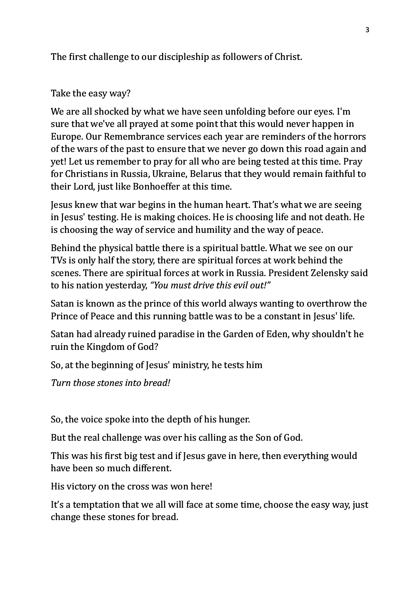The first challenge to our discipleship as followers of Christ.

## Take the easy way?

We are all shocked by what we have seen unfolding before our eyes. I'm sure that we've all prayed at some point that this would never happen in Europe. Our Remembrance services each year are reminders of the horrors of the wars of the past to ensure that we never go down this road again and yet! Let us remember to pray for all who are being tested at this time. Pray for Christians in Russia, Ukraine, Belarus that they would remain faithful to their Lord, just like Bonhoeffer at this time.

Jesus knew that war begins in the human heart. That's what we are seeing in Jesus' testing. He is making choices. He is choosing life and not death. He is choosing the way of service and humility and the way of peace.

Behind the physical battle there is a spiritual battle. What we see on our TVs is only half the story, there are spiritual forces at work behind the scenes. There are spiritual forces at work in Russia. President Zelensky said to his nation yesterday, "You must drive this evil out!"

Satan is known as the prince of this world always wanting to overthrow the Prince of Peace and this running battle was to be a constant in Jesus' life.

Satan had already ruined paradise in the Garden of Eden, why shouldn't he ruin the Kingdom of God?

So, at the beginning of Jesus' ministry, he tests him

*Turn those stones into bread!*

So, the voice spoke into the depth of his hunger.

But the real challenge was over his calling as the Son of God.

This was his first big test and if Jesus gave in here, then everything would have been so much different.

His victory on the cross was won here!

It's a temptation that we all will face at some time, choose the easy way, just change these stones for bread.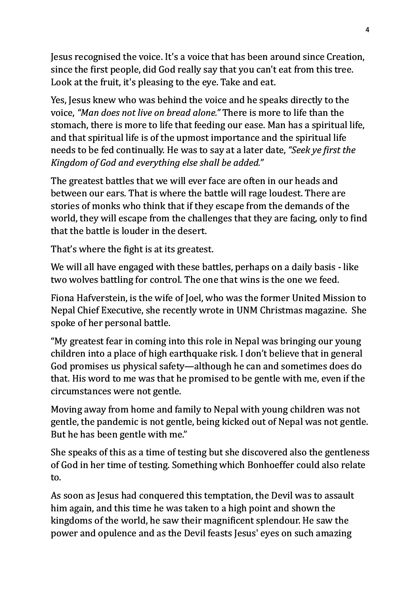Jesus recognised the voice. It's a voice that has been around since Creation, since the first people, did God really say that you can't eat from this tree. Look at the fruit, it's pleasing to the eve. Take and eat.

Yes, Jesus knew who was behind the voice and he speaks directly to the voice, "Man does not live on bread alone." There is more to life than the stomach, there is more to life that feeding our ease. Man has a spiritual life, and that spiritual life is of the upmost importance and the spiritual life needs to be fed continually. He was to say at a later date, *"Seek ye first the Kingdom of God and everything else shall be added."*

The greatest battles that we will ever face are often in our heads and between our ears. That is where the battle will rage loudest. There are stories of monks who think that if they escape from the demands of the world, they will escape from the challenges that they are facing, only to find that the battle is louder in the desert.

That's where the fight is at its greatest.

We will all have engaged with these battles, perhaps on a daily basis - like two wolves battling for control. The one that wins is the one we feed.

Fiona Hafverstein, is the wife of Joel, who was the former United Mission to Nepal Chief Executive, she recently wrote in UNM Christmas magazine. She spoke of her personal battle.

"My greatest fear in coming into this role in Nepal was bringing our young children into a place of high earthquake risk. I don't believe that in general God promises us physical safety—although he can and sometimes does do that. His word to me was that he promised to be gentle with me, even if the circumstances were not gentle.

Moving away from home and family to Nepal with young children was not gentle, the pandemic is not gentle, being kicked out of Nepal was not gentle. But he has been gentle with me."

She speaks of this as a time of testing but she discovered also the gentleness of God in her time of testing. Something which Bonhoeffer could also relate to.

As soon as Jesus had conquered this temptation, the Devil was to assault him again, and this time he was taken to a high point and shown the kingdoms of the world, he saw their magnificent splendour. He saw the power and opulence and as the Devil feasts Jesus' eyes on such amazing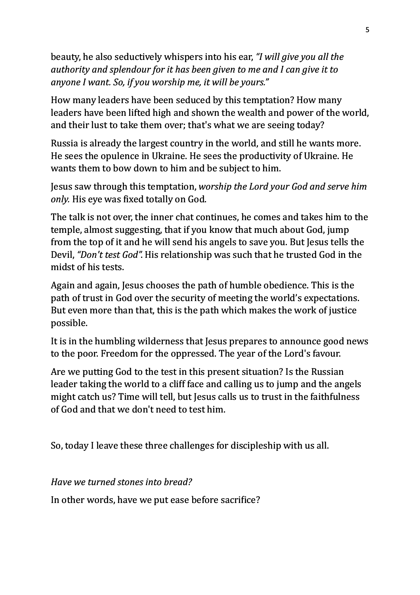beauty, he also seductively whispers into his ear. *"I will give you all the* authority and splendour for it has been given to me and I can give it to *anyone I want. So, if you worship me, it will be yours."*

How many leaders have been seduced by this temptation? How many leaders have been lifted high and shown the wealth and power of the world, and their lust to take them over; that's what we are seeing today?

Russia is already the largest country in the world, and still he wants more. He sees the opulence in Ukraine. He sees the productivity of Ukraine. He wants them to bow down to him and be subject to him.

Jesus saw through this temptation, worship the Lord your God and serve him *only.* His eye was fixed totally on God.

The talk is not over, the inner chat continues, he comes and takes him to the temple, almost suggesting, that if you know that much about God, jump from the top of it and he will send his angels to save you. But Jesus tells the Devil, "Don't test God". His relationship was such that he trusted God in the midst of his tests.

Again and again, Jesus chooses the path of humble obedience. This is the path of trust in God over the security of meeting the world's expectations. But even more than that, this is the path which makes the work of justice possible.

It is in the humbling wilderness that Jesus prepares to announce good news to the poor. Freedom for the oppressed. The year of the Lord's favour.

Are we putting God to the test in this present situation? Is the Russian leader taking the world to a cliff face and calling us to jump and the angels might catch us? Time will tell, but Jesus calls us to trust in the faithfulness of God and that we don't need to test him.

So, today I leave these three challenges for discipleship with us all.

*Have we turned stones into bread?*

In other words, have we put ease before sacrifice?